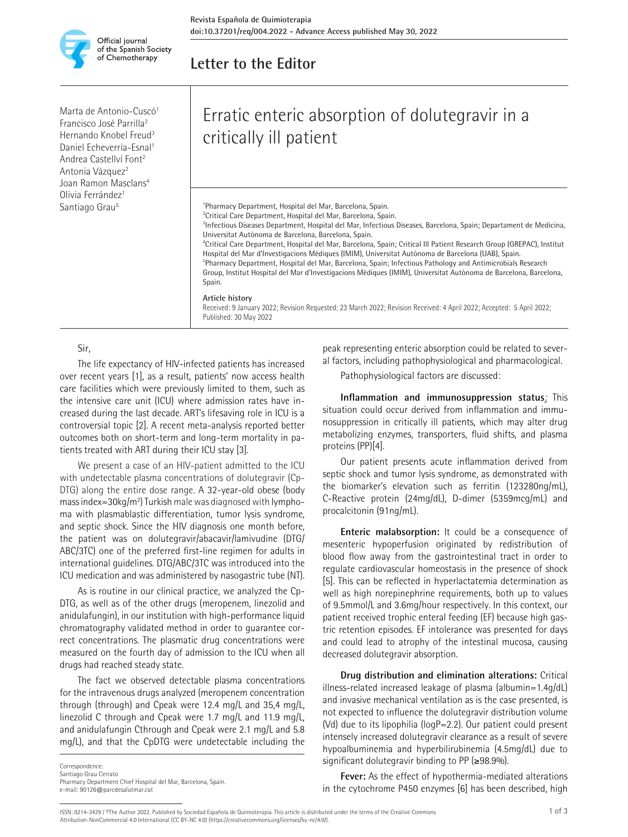

## **Letter to the Editor**

Marta de Antonio-Cuscó<sup>1</sup> Francisco José Parrilla2 Hernando Knobel Freud3 Daniel Echeverría-Esnal<sup>1</sup> Andrea Castellví Font2 Antonia Vázquez<sup>2</sup> Joan Ramon Masclans<sup>4</sup> Olivia Ferrández<sup>1</sup> Santiago Grau<sup>5</sup>

# Erratic enteric absorption of dolutegravir in a critically ill patient

1 Pharmacy Department, Hospital del Mar, Barcelona, Spain. <sup>2</sup> Critical Care Department, Hospital del Mar, Barcelona, Spain. 3 Infectious Diseases Department, Hospital del Mar, Infectious Diseases, Barcelona, Spain; Departament de Medicina, Universitat Autònoma de Barcelona, Barcelona, Spain. 4 Critical Care Department, Hospital del Mar, Barcelona, Spain; Critical Ill Patient Research Group (GREPAC), Institut Hospital del Mar d'Investigacions Mèdiques (IMIM), Universitat Autònoma de Barcelona (UAB), Spain. 5 Pharmacy Department, Hospital del Mar, Barcelona, Spain; Infectious Pathology and Antimicrobials Research Group, Institut Hospital del Mar d'Investigacions Mèdiques (IMIM), Universitat Autònoma de Barcelona, Barcelona, Spain.

#### **Article history**

Received: 9 January 2022; Revision Requested: 23 March 2022; Revision Received: 4 April 2022; Accepted: 5 April 2022; Published: 30 May 2022

#### Sir,

The life expectancy of HIV-infected patients has increased over recent years [1], as a result, patients' now access health care facilities which were previously limited to them, such as the intensive care unit (ICU) where admission rates have increased during the last decade. ART's lifesaving role in ICU is a controversial topic [2]. A recent meta-analysis reported better outcomes both on short-term and long-term mortality in patients treated with ART during their ICU stay [3].

We present a case of an HIV-patient admitted to the ICU with undetectable plasma concentrations of dolutegravir (Cp-DTG) along the entire dose range. A 32-year-old obese (body mass index=30kg/m<sup>2</sup>) Turkish male was diagnosed with lymphoma with plasmablastic differentiation, tumor lysis syndrome, and septic shock. Since the HIV diagnosis one month before, the patient was on dolutegravir/abacavir/lamivudine (DTG/ ABC/3TC) one of the preferred first-line regimen for adults in international guidelines. DTG/ABC/3TC was introduced into the ICU medication and was administered by nasogastric tube (NT).

As is routine in our clinical practice, we analyzed the Cp-DTG, as well as of the other drugs (meropenem, linezolid and anidulafungin), in our institution with high-performance liquid chromatography validated method in order to guarantee correct concentrations. The plasmatic drug concentrations were measured on the fourth day of admission to the ICU when all drugs had reached steady state.

The fact we observed detectable plasma concentrations for the intravenous drugs analyzed (meropenem concentration through (through) and Cpeak were 12.4 mg/L and 35,4 mg/L, linezolid C through and Cpeak were 1.7 mg/L and 11.9 mg/L, and anidulafungin Cthrough and Cpeak were 2.1 mg/L and 5.8 mg/L), and that the CpDTG were undetectable including the

**Correspondence** 

Santiago Grau Cerrato

Pharmacy Department Chief Hospital del Mar, Barcelona, Spain. e-mail: 90126@parcdesalutmar.cat

peak representing enteric absorption could be related to several factors, including pathophysiological and pharmacological.

Pathophysiological factors are discussed:

**Inflammation and immunosuppression status***:* This situation could occur derived from inflammation and immunosuppression in critically ill patients, which may alter drug metabolizing enzymes, transporters, fluid shifts, and plasma proteins (PP)[4].

Our patient presents acute inflammation derived from septic shock and tumor lysis syndrome, as demonstrated with the biomarker's elevation such as ferritin (123280ng/mL), C-Reactive protein (24mg/dL), D-dimer (5359mcg/mL) and procalcitonin (91ng/mL).

**Enteric malabsorption:** It could be a consequence of mesenteric hypoperfusion originated by redistribution of blood flow away from the gastrointestinal tract in order to regulate cardiovascular homeostasis in the presence of shock [5]. This can be reflected in hyperlactatemia determination as well as high norepinephrine requirements, both up to values of 9.5mmol/L and 3.6mg/hour respectively. In this context, our patient received trophic enteral feeding (EF) because high gastric retention episodes. EF intolerance was presented for days and could lead to atrophy of the intestinal mucosa, causing decreased dolutegravir absorption.

**Drug distribution and elimination alterations:** Critical illness-related increased leakage of plasma (albumin=1.4g/dL) and invasive mechanical ventilation as is the case presented, is not expected to influence the dolutegravir distribution volume (Vd) due to its lipophilia (logP=2.2). Our patient could present intensely increased dolutegravir clearance as a result of severe hypoalbuminemia and hyperbilirubinemia (4.5mg/dL) due to significant dolutegravir binding to PP ( $\geq$ 98.9%).

**Fever:** As the effect of hypothermia-mediated alterations in the cytochrome P450 enzymes [6] has been described, high

ISSN: 0214-3429 / ©The Author 2022. Published by Sociedad Española de Quimioterapia. This article is distributed under the terms of the Creative Commons 1 of 3 Attribution-NonCommercial 4.0 International (CC BY-NC 4.0) (https://creativecommons.org/licenses/by-nc/4.0/).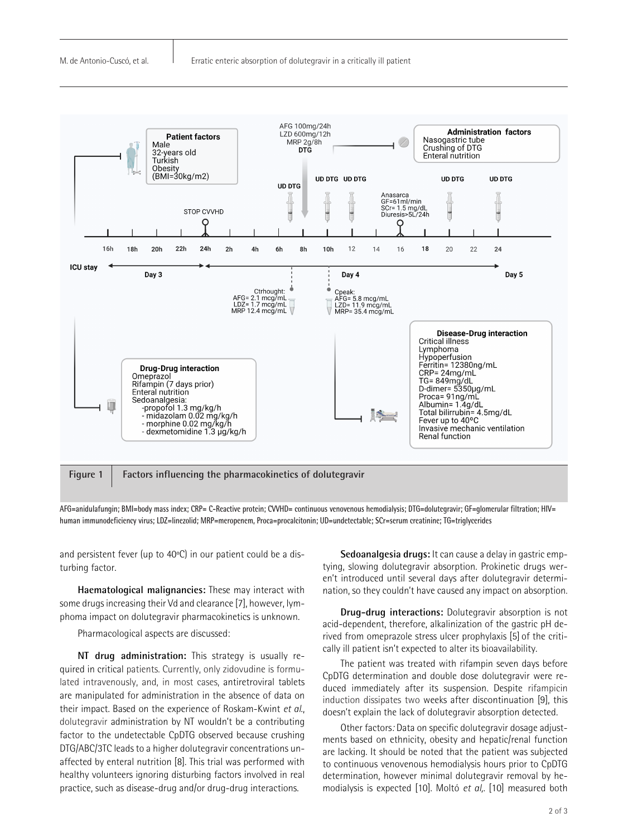

**Figure 1 Factors influencing the pharmacokinetics of dolutegravir**

**AFG=anidulafungin; BMI=body mass index; CRP= C-Reactive protein; CVVHD= continuous venovenous hemodialysis; DTG=dolutegravir; GF=glomerular filtration; HIV= human immunodeficiency virus; LDZ=linezolid; MRP=meropenem, Proca=procalcitonin; UD=undetectable; SCr=serum creatinine; TG=triglycerides**

and persistent fever (up to 40ºC) in our patient could be a disturbing factor.

**Haematological malignancies:** These may interact with some drugs increasing their Vd and clearance [7], however, lymphoma impact on dolutegravir pharmacokinetics is unknown.

Pharmacological aspects are discussed:

**NT drug administration:** This strategy is usually required in critical patients. Currently, only zidovudine is formulated intravenously, and, in most cases, antiretroviral tablets are manipulated for administration in the absence of data on their impact. Based on the experience of Roskam-Kwint *et al*., dolutegravir administration by NT wouldn't be a contributing factor to the undetectable CpDTG observed because crushing DTG/ABC/3TC leads to a higher dolutegravir concentrations unaffected by enteral nutrition [8]. This trial was performed with healthy volunteers ignoring disturbing factors involved in real practice, such as disease-drug and/or drug-drug interactions.

**Sedoanalgesia drugs:** It can cause a delay in gastric emptying, slowing dolutegravir absorption. Prokinetic drugs weren't introduced until several days after dolutegravir determination, so they couldn't have caused any impact on absorption.

**Drug-drug interactions:** Dolutegravir absorption is not acid-dependent, therefore, alkalinization of the gastric pH derived from omeprazole stress ulcer prophylaxis [5] of the critically ill patient isn't expected to alter its bioavailability.

The patient was treated with rifampin seven days before CpDTG determination and double dose dolutegravir were reduced immediately after its suspension. Despite rifampicin induction dissipates two weeks after discontinuation [9], this doesn't explain the lack of dolutegravir absorption detected.

Other factors*:* Data on specific dolutegravir dosage adjustments based on ethnicity, obesity and hepatic/renal function are lacking. It should be noted that the patient was subjected to continuous venovenous hemodialysis hours prior to CpDTG determination, however minimal dolutegravir removal by hemodialysis is expected [10]. Moltó *et al,.* [10] measured both